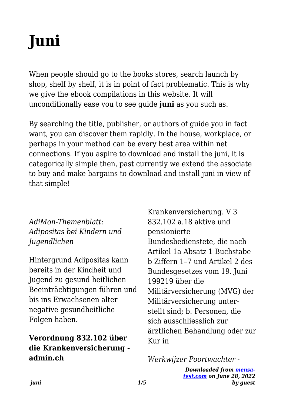# **Juni**

When people should go to the books stores, search launch by shop, shelf by shelf, it is in point of fact problematic. This is why we give the ebook compilations in this website. It will unconditionally ease you to see guide **juni** as you such as.

By searching the title, publisher, or authors of guide you in fact want, you can discover them rapidly. In the house, workplace, or perhaps in your method can be every best area within net connections. If you aspire to download and install the juni, it is categorically simple then, past currently we extend the associate to buy and make bargains to download and install juni in view of that simple!

## *AdiMon-Themenblatt: Adipositas bei Kindern und Jugendlichen*

Hintergrund Adipositas kann bereits in der Kindheit und Jugend zu gesund heitlichen Beeinträchtigungen führen und bis ins Erwachsenen alter negative gesundheitliche Folgen haben.

# **Verordnung 832.102 über die Krankenversicherung admin.ch**

Krankenversicherung. V 3 832.102 a.18 aktive und pensionierte Bundesbedienstete, die nach Artikel 1a Absatz 1 Buchstabe b Ziffern 1–7 und Artikel 2 des Bundesgesetzes vom 19. Juni 199219 über die Militärversicherung (MVG) der Militärversicherung unterstellt sind; b. Personen, die sich ausschliesslich zur ärztlichen Behandlung oder zur Kur in

*Werkwijzer Poortwachter -*

*Downloaded from [mensa](https://mensa-test.com)[test.com](https://mensa-test.com) on June 28, 2022 by guest*